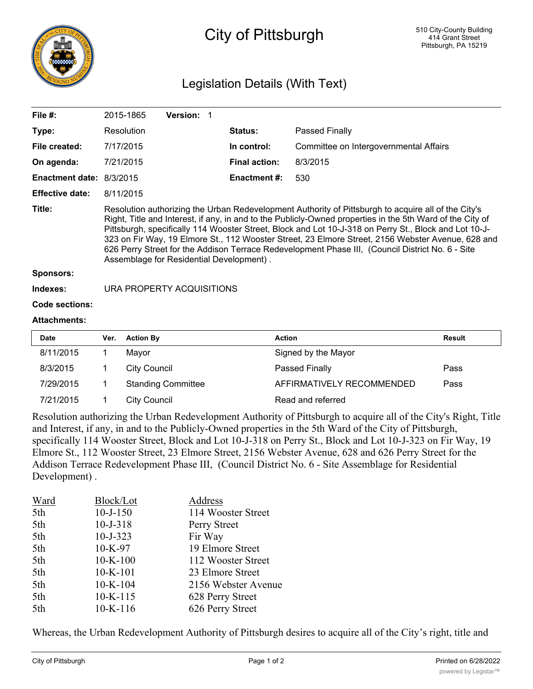

## City of Pittsburgh

## Legislation Details (With Text)

| File $#$ :                      | 2015-1865                                                                                                                                                                                                                                                                                                                                                                                                                                                                                                                                                                      | <b>Version: 1</b> |                      |                                        |
|---------------------------------|--------------------------------------------------------------------------------------------------------------------------------------------------------------------------------------------------------------------------------------------------------------------------------------------------------------------------------------------------------------------------------------------------------------------------------------------------------------------------------------------------------------------------------------------------------------------------------|-------------------|----------------------|----------------------------------------|
| Type:                           | Resolution                                                                                                                                                                                                                                                                                                                                                                                                                                                                                                                                                                     |                   | <b>Status:</b>       | Passed Finally                         |
| File created:                   | 7/17/2015                                                                                                                                                                                                                                                                                                                                                                                                                                                                                                                                                                      |                   | In control:          | Committee on Intergovernmental Affairs |
| On agenda:                      | 7/21/2015                                                                                                                                                                                                                                                                                                                                                                                                                                                                                                                                                                      |                   | <b>Final action:</b> | 8/3/2015                               |
| <b>Enactment date: 8/3/2015</b> |                                                                                                                                                                                                                                                                                                                                                                                                                                                                                                                                                                                |                   | Enactment #:         | 530                                    |
| <b>Effective date:</b>          | 8/11/2015                                                                                                                                                                                                                                                                                                                                                                                                                                                                                                                                                                      |                   |                      |                                        |
| Title:                          | Resolution authorizing the Urban Redevelopment Authority of Pittsburgh to acquire all of the City's<br>Right, Title and Interest, if any, in and to the Publicly-Owned properties in the 5th Ward of the City of<br>Pittsburgh, specifically 114 Wooster Street, Block and Lot 10-J-318 on Perry St., Block and Lot 10-J-<br>323 on Fir Way, 19 Elmore St., 112 Wooster Street, 23 Elmore Street, 2156 Webster Avenue, 628 and<br>626 Perry Street for the Addison Terrace Redevelopment Phase III, (Council District No. 6 - Site<br>Assemblage for Residential Development). |                   |                      |                                        |
| <b>Sponsors:</b>                |                                                                                                                                                                                                                                                                                                                                                                                                                                                                                                                                                                                |                   |                      |                                        |
| Indexes:                        | URA PROPERTY ACQUISITIONS                                                                                                                                                                                                                                                                                                                                                                                                                                                                                                                                                      |                   |                      |                                        |
| <b>Code sections:</b>           |                                                                                                                                                                                                                                                                                                                                                                                                                                                                                                                                                                                |                   |                      |                                        |
| <b>Attachments:</b>             |                                                                                                                                                                                                                                                                                                                                                                                                                                                                                                                                                                                |                   |                      |                                        |

| <b>Date</b> | Ver. | <b>Action By</b>          | <b>Action</b>             | Result |
|-------------|------|---------------------------|---------------------------|--------|
| 8/11/2015   |      | Mavor                     | Signed by the Mayor       |        |
| 8/3/2015    |      | City Council              | Passed Finally            | Pass   |
| 7/29/2015   |      | <b>Standing Committee</b> | AFFIRMATIVELY RECOMMENDED | Pass   |
| 7/21/2015   |      | <b>City Council</b>       | Read and referred         |        |

Resolution authorizing the Urban Redevelopment Authority of Pittsburgh to acquire all of the City's Right, Title and Interest, if any, in and to the Publicly-Owned properties in the 5th Ward of the City of Pittsburgh, specifically 114 Wooster Street, Block and Lot 10-J-318 on Perry St., Block and Lot 10-J-323 on Fir Way, 19 Elmore St., 112 Wooster Street, 23 Elmore Street, 2156 Webster Avenue, 628 and 626 Perry Street for the Addison Terrace Redevelopment Phase III, (Council District No. 6 - Site Assemblage for Residential Development) .

| Ward | Block/Lot      | Address             |
|------|----------------|---------------------|
| 5th  | $10 - J - 150$ | 114 Wooster Street  |
| 5th  | $10 - J - 318$ | Perry Street        |
| 5th  | $10 - J - 323$ | Fir Way             |
| 5th  | $10-K-97$      | 19 Elmore Street    |
| 5th  | $10-K-100$     | 112 Wooster Street  |
| 5th  | $10-K-101$     | 23 Elmore Street    |
| 5th  | $10-K-104$     | 2156 Webster Avenue |
| 5th  | $10-K-115$     | 628 Perry Street    |
| 5th  | $10-K-116$     | 626 Perry Street    |
|      |                |                     |

Whereas, the Urban Redevelopment Authority of Pittsburgh desires to acquire all of the City's right, title and